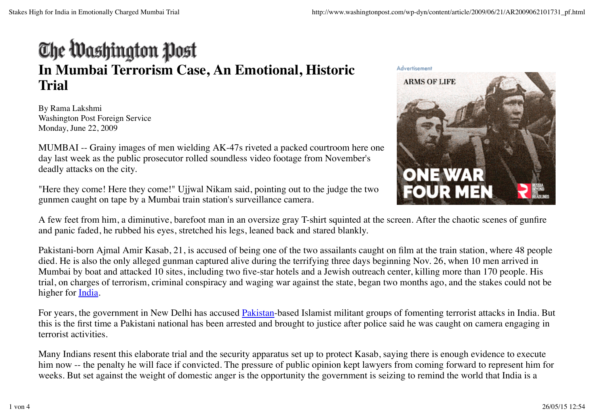## The Washington Post **In Mumbai Terrorism Case, An Emotional, Historic Trial**

By Rama Lakshmi Washington Post Foreign Service Monday, June 22, 2009

MUMBAI -- Grainy images of men wielding AK-47s riveted a packed courtroom here one day last week as the public prosecutor rolled soundless video footage from November's deadly attacks on the city.

"Here they come! Here they come!" Ujjwal Nikam said, pointing out to the judge the two gunmen caught on tape by a Mumbai train station's surveillance camera.



A few feet from him, a diminutive, barefoot man in an oversize gray T-shirt squinted at the screen. After the chaotic scenes of gunfire and panic faded, he rubbed his eyes, stretched his legs, leaned back and stared blankly.

Pakistani-born Ajmal Amir Kasab, 21, is accused of being one of the two assailants caught on film at the train station, where 48 people died. He is also the only alleged gunman captured alive during the terrifying three days beginning Nov. 26, when 10 men arrived in Mumbai by boat and attacked 10 sites, including two five-star hotels and a Jewish outreach center, killing more than 170 people. His trial, on charges of terrorism, criminal conspiracy and waging war against the state, began two months ago, and the stakes could not be higher for **India**.

For years, the government in New Delhi has accused Pakistan-based Islamist militant groups of fomenting terrorist attacks in India. But this is the first time a Pakistani national has been arrested and brought to justice after police said he was caught on camera engaging in terrorist activities.

Many Indians resent this elaborate trial and the security apparatus set up to protect Kasab, saying there is enough evidence to execute him now -- the penalty he will face if convicted. The pressure of public opinion kept lawyers from coming forward to represent him for weeks. But set against the weight of domestic anger is the opportunity the government is seizing to remind the world that India is a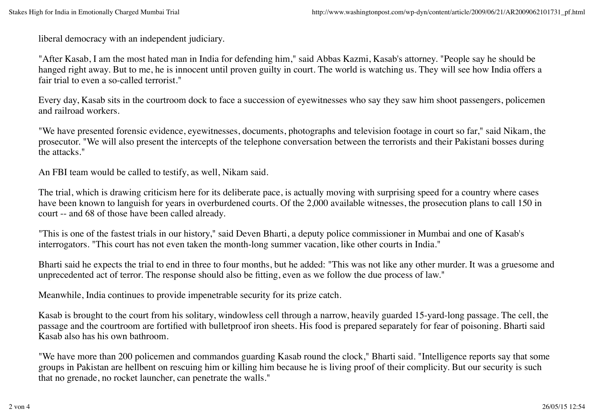liberal democracy with an independent judiciary.

"After Kasab, I am the most hated man in India for defending him," said Abbas Kazmi, Kasab's attorney. "People say he should be hanged right away. But to me, he is innocent until proven guilty in court. The world is watching us. They will see how India offers a fair trial to even a so-called terrorist."

Every day, Kasab sits in the courtroom dock to face a succession of eyewitnesses who say they saw him shoot passengers, policemen and railroad workers.

"We have presented forensic evidence, eyewitnesses, documents, photographs and television footage in court so far," said Nikam, the prosecutor. "We will also present the intercepts of the telephone conversation between the terrorists and their Pakistani bosses during the attacks."

An FBI team would be called to testify, as well, Nikam said.

The trial, which is drawing criticism here for its deliberate pace, is actually moving with surprising speed for a country where cases have been known to languish for years in overburdened courts. Of the 2,000 available witnesses, the prosecution plans to call 150 in court -- and 68 of those have been called already.

"This is one of the fastest trials in our history," said Deven Bharti, a deputy police commissioner in Mumbai and one of Kasab's interrogators. "This court has not even taken the month-long summer vacation, like other courts in India."

Bharti said he expects the trial to end in three to four months, but he added: "This was not like any other murder. It was a gruesome and unprecedented act of terror. The response should also be fitting, even as we follow the due process of law."

Meanwhile, India continues to provide impenetrable security for its prize catch.

Kasab is brought to the court from his solitary, windowless cell through a narrow, heavily guarded 15-yard-long passage. The cell, the passage and the courtroom are fortified with bulletproof iron sheets. His food is prepared separately for fear of poisoning. Bharti said Kasab also has his own bathroom.

"We have more than 200 policemen and commandos guarding Kasab round the clock," Bharti said. "Intelligence reports say that some groups in Pakistan are hellbent on rescuing him or killing him because he is living proof of their complicity. But our security is such that no grenade, no rocket launcher, can penetrate the walls."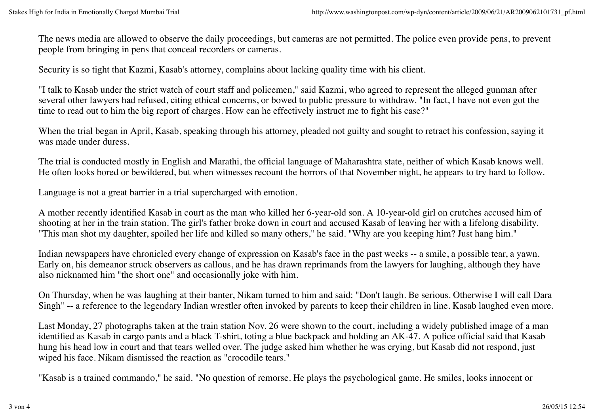The news media are allowed to observe the daily proceedings, but cameras are not permitted. The police even provide pens, to prevent people from bringing in pens that conceal recorders or cameras.

Security is so tight that Kazmi, Kasab's attorney, complains about lacking quality time with his client.

"I talk to Kasab under the strict watch of court staff and policemen," said Kazmi, who agreed to represent the alleged gunman after several other lawyers had refused, citing ethical concerns, or bowed to public pressure to withdraw. "In fact, I have not even got the time to read out to him the big report of charges. How can he effectively instruct me to fight his case?"

When the trial began in April, Kasab, speaking through his attorney, pleaded not guilty and sought to retract his confession, saying it was made under duress.

The trial is conducted mostly in English and Marathi, the official language of Maharashtra state, neither of which Kasab knows well. He often looks bored or bewildered, but when witnesses recount the horrors of that November night, he appears to try hard to follow.

Language is not a great barrier in a trial supercharged with emotion.

A mother recently identified Kasab in court as the man who killed her 6-year-old son. A 10-year-old girl on crutches accused him of shooting at her in the train station. The girl's father broke down in court and accused Kasab of leaving her with a lifelong disability. "This man shot my daughter, spoiled her life and killed so many others," he said. "Why are you keeping him? Just hang him."

Indian newspapers have chronicled every change of expression on Kasab's face in the past weeks -- a smile, a possible tear, a yawn. Early on, his demeanor struck observers as callous, and he has drawn reprimands from the lawyers for laughing, although they have also nicknamed him "the short one" and occasionally joke with him.

On Thursday, when he was laughing at their banter, Nikam turned to him and said: "Don't laugh. Be serious. Otherwise I will call Dara Singh" -- a reference to the legendary Indian wrestler often invoked by parents to keep their children in line. Kasab laughed even more.

Last Monday, 27 photographs taken at the train station Nov. 26 were shown to the court, including a widely published image of a man identified as Kasab in cargo pants and a black T-shirt, toting a blue backpack and holding an AK-47. A police official said that Kasab hung his head low in court and that tears welled over. The judge asked him whether he was crying, but Kasab did not respond, just wiped his face. Nikam dismissed the reaction as "crocodile tears."

"Kasab is a trained commando," he said. "No question of remorse. He plays the psychological game. He smiles, looks innocent or